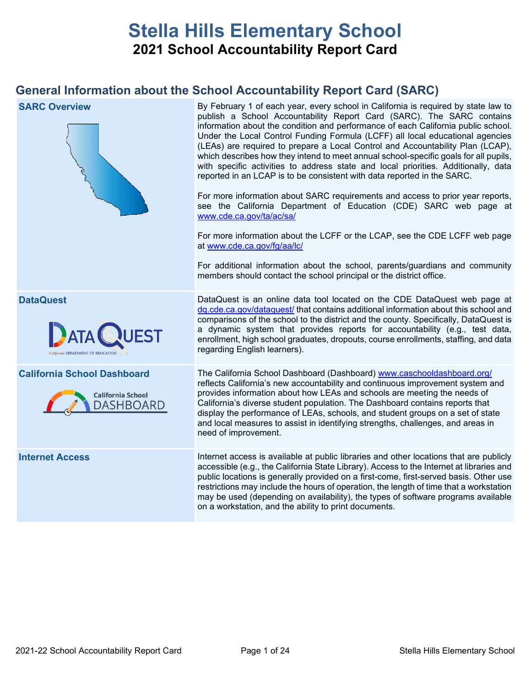# **Stella Hills Elementary School 2021 School Accountability Report Card**

# **General Information about the School Accountability Report Card (SARC)**

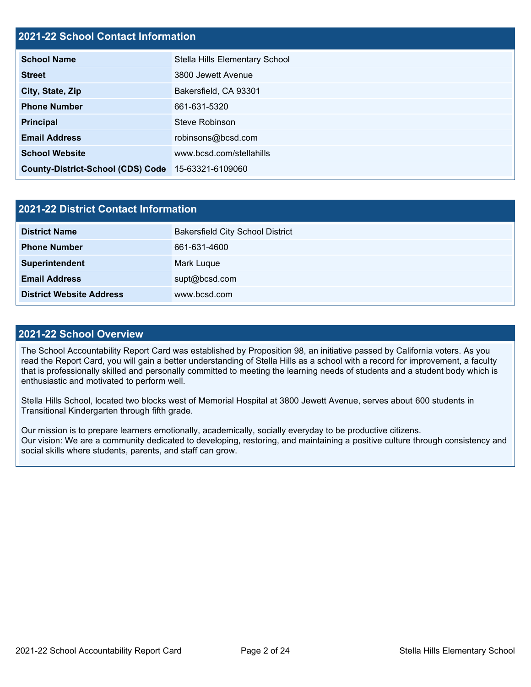# **2021-22 School Contact Information**

| <b>School Name</b>                                 | Stella Hills Elementary School |  |  |  |  |  |
|----------------------------------------------------|--------------------------------|--|--|--|--|--|
| <b>Street</b>                                      | 3800 Jewett Avenue             |  |  |  |  |  |
| City, State, Zip                                   | Bakersfield, CA 93301          |  |  |  |  |  |
| <b>Phone Number</b>                                | 661-631-5320                   |  |  |  |  |  |
| <b>Principal</b>                                   | Steve Robinson                 |  |  |  |  |  |
| <b>Email Address</b>                               | robinsons@bcsd.com             |  |  |  |  |  |
| <b>School Website</b>                              | www.bcsd.com/stellahills       |  |  |  |  |  |
| County-District-School (CDS) Code 15-63321-6109060 |                                |  |  |  |  |  |

| 2021-22 District Contact Information |                                         |  |  |  |
|--------------------------------------|-----------------------------------------|--|--|--|
| <b>District Name</b>                 | <b>Bakersfield City School District</b> |  |  |  |
| <b>Phone Number</b>                  | 661-631-4600                            |  |  |  |
| Superintendent                       | Mark Luque                              |  |  |  |
| <b>Email Address</b>                 | supt@bcsd.com                           |  |  |  |
| <b>District Website Address</b>      | www.bcsd.com                            |  |  |  |

## **2021-22 School Overview**

The School Accountability Report Card was established by Proposition 98, an initiative passed by California voters. As you read the Report Card, you will gain a better understanding of Stella Hills as a school with a record for improvement, a faculty that is professionally skilled and personally committed to meeting the learning needs of students and a student body which is enthusiastic and motivated to perform well.

Stella Hills School, located two blocks west of Memorial Hospital at 3800 Jewett Avenue, serves about 600 students in Transitional Kindergarten through fifth grade.

Our mission is to prepare learners emotionally, academically, socially everyday to be productive citizens. Our vision: We are a community dedicated to developing, restoring, and maintaining a positive culture through consistency and social skills where students, parents, and staff can grow.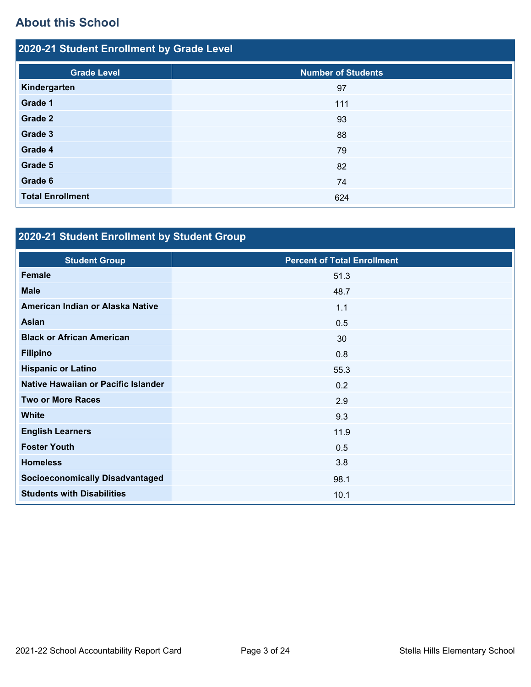# **About this School**

| 2020-21 Student Enrollment by Grade Level |                           |  |  |  |
|-------------------------------------------|---------------------------|--|--|--|
| <b>Grade Level</b>                        | <b>Number of Students</b> |  |  |  |
| Kindergarten                              | 97                        |  |  |  |
| Grade 1                                   | 111                       |  |  |  |
| Grade 2                                   | 93                        |  |  |  |
| Grade 3                                   | 88                        |  |  |  |
| Grade 4                                   | 79                        |  |  |  |
| Grade 5                                   | 82                        |  |  |  |
| Grade 6                                   | 74                        |  |  |  |
| <b>Total Enrollment</b>                   | 624                       |  |  |  |

# **2020-21 Student Enrollment by Student Group**

| <b>Student Group</b>                   | <b>Percent of Total Enrollment</b> |
|----------------------------------------|------------------------------------|
| <b>Female</b>                          | 51.3                               |
| <b>Male</b>                            | 48.7                               |
| American Indian or Alaska Native       | 1.1                                |
| Asian                                  | 0.5                                |
| <b>Black or African American</b>       | 30                                 |
| <b>Filipino</b>                        | 0.8                                |
| <b>Hispanic or Latino</b>              | 55.3                               |
| Native Hawaiian or Pacific Islander    | 0.2                                |
| <b>Two or More Races</b>               | 2.9                                |
| <b>White</b>                           | 9.3                                |
| <b>English Learners</b>                | 11.9                               |
| <b>Foster Youth</b>                    | 0.5                                |
| <b>Homeless</b>                        | 3.8                                |
| <b>Socioeconomically Disadvantaged</b> | 98.1                               |
| <b>Students with Disabilities</b>      | 10.1                               |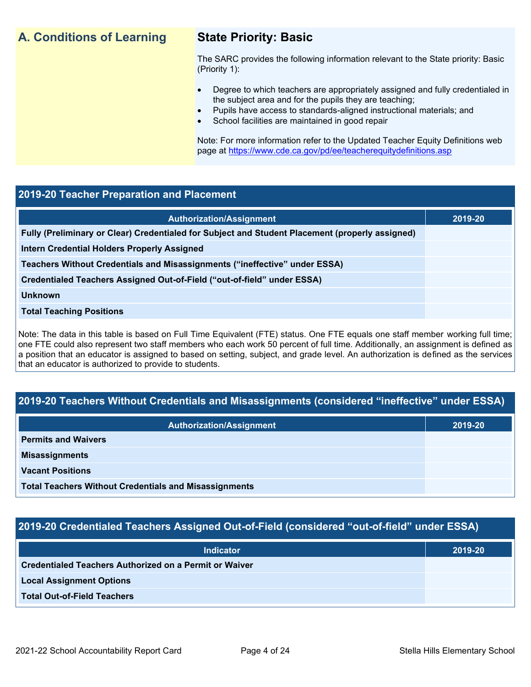# **A. Conditions of Learning State Priority: Basic**

The SARC provides the following information relevant to the State priority: Basic (Priority 1):

- Degree to which teachers are appropriately assigned and fully credentialed in the subject area and for the pupils they are teaching;
	- Pupils have access to standards-aligned instructional materials; and
- School facilities are maintained in good repair

Note: For more information refer to the Updated Teacher Equity Definitions web page at<https://www.cde.ca.gov/pd/ee/teacherequitydefinitions.asp>

## **2019-20 Teacher Preparation and Placement**

| <b>Authorization/Assignment</b>                                                                 | 2019-20 |
|-------------------------------------------------------------------------------------------------|---------|
| Fully (Preliminary or Clear) Credentialed for Subject and Student Placement (properly assigned) |         |
| Intern Credential Holders Properly Assigned                                                     |         |
| Teachers Without Credentials and Misassignments ("ineffective" under ESSA)                      |         |
| Credentialed Teachers Assigned Out-of-Field ("out-of-field" under ESSA)                         |         |
| <b>Unknown</b>                                                                                  |         |
| <b>Total Teaching Positions</b>                                                                 |         |
|                                                                                                 |         |

Note: The data in this table is based on Full Time Equivalent (FTE) status. One FTE equals one staff member working full time; one FTE could also represent two staff members who each work 50 percent of full time. Additionally, an assignment is defined as a position that an educator is assigned to based on setting, subject, and grade level. An authorization is defined as the services that an educator is authorized to provide to students.

# **2019-20 Teachers Without Credentials and Misassignments (considered "ineffective" under ESSA)**

| <b>Authorization/Assignment</b>                              | 2019-20 |
|--------------------------------------------------------------|---------|
| <b>Permits and Waivers</b>                                   |         |
| <b>Misassignments</b>                                        |         |
| <b>Vacant Positions</b>                                      |         |
| <b>Total Teachers Without Credentials and Misassignments</b> |         |

# **2019-20 Credentialed Teachers Assigned Out-of-Field (considered "out-of-field" under ESSA)**

| <b>Indicator</b>                                              | 2019-20 |
|---------------------------------------------------------------|---------|
| <b>Credentialed Teachers Authorized on a Permit or Waiver</b> |         |
| <b>Local Assignment Options</b>                               |         |
| <b>Total Out-of-Field Teachers</b>                            |         |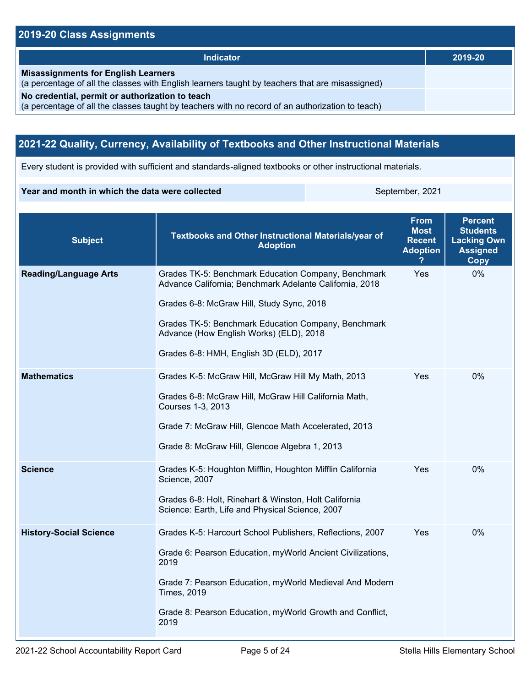# **2019-20 Class Assignments**

| <b>Indicator</b>                                                                                                                                    | 2019-20 |
|-----------------------------------------------------------------------------------------------------------------------------------------------------|---------|
| <b>Misassignments for English Learners</b><br>(a percentage of all the classes with English learners taught by teachers that are misassigned)       |         |
| No credential, permit or authorization to teach<br>(a percentage of all the classes taught by teachers with no record of an authorization to teach) |         |

# **2021-22 Quality, Currency, Availability of Textbooks and Other Instructional Materials**

Every student is provided with sufficient and standards-aligned textbooks or other instructional materials.

### **Year and month in which the data were collected** September, 2021

| <b>Subject</b>                | Textbooks and Other Instructional Materials/year of<br><b>Adoption</b>                                                                                                                                                                                                                                   | <b>From</b><br><b>Most</b><br><b>Recent</b><br><b>Adoption</b> | <b>Percent</b><br><b>Students</b><br><b>Lacking Own</b><br><b>Assigned</b><br>Copy |
|-------------------------------|----------------------------------------------------------------------------------------------------------------------------------------------------------------------------------------------------------------------------------------------------------------------------------------------------------|----------------------------------------------------------------|------------------------------------------------------------------------------------|
| <b>Reading/Language Arts</b>  | Grades TK-5: Benchmark Education Company, Benchmark<br>Advance California; Benchmark Adelante California, 2018<br>Grades 6-8: McGraw Hill, Study Sync, 2018<br>Grades TK-5: Benchmark Education Company, Benchmark<br>Advance (How English Works) (ELD), 2018<br>Grades 6-8: HMH, English 3D (ELD), 2017 | Yes                                                            | 0%                                                                                 |
| <b>Mathematics</b>            | Grades K-5: McGraw Hill, McGraw Hill My Math, 2013<br>Grades 6-8: McGraw Hill, McGraw Hill California Math,<br>Courses 1-3, 2013<br>Grade 7: McGraw Hill, Glencoe Math Accelerated, 2013<br>Grade 8: McGraw Hill, Glencoe Algebra 1, 2013                                                                | Yes                                                            | 0%                                                                                 |
| <b>Science</b>                | Grades K-5: Houghton Mifflin, Houghton Mifflin California<br>Science, 2007<br>Grades 6-8: Holt, Rinehart & Winston, Holt California<br>Science: Earth, Life and Physical Science, 2007                                                                                                                   | Yes                                                            | $0\%$                                                                              |
| <b>History-Social Science</b> | Grades K-5: Harcourt School Publishers, Reflections, 2007<br>Grade 6: Pearson Education, myWorld Ancient Civilizations,<br>2019<br>Grade 7: Pearson Education, myWorld Medieval And Modern<br><b>Times, 2019</b><br>Grade 8: Pearson Education, myWorld Growth and Conflict,<br>2019                     | Yes                                                            | 0%                                                                                 |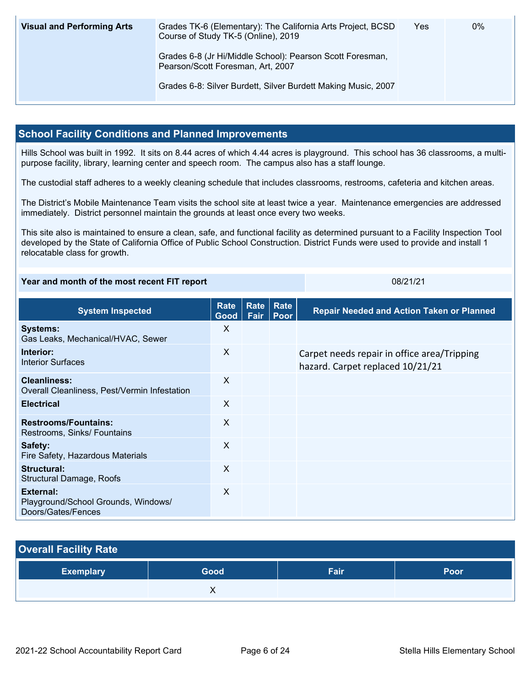| <b>Visual and Performing Arts</b> | Grades TK-6 (Elementary): The California Arts Project, BCSD<br>Course of Study TK-5 (Online), 2019 | Yes | $0\%$ |
|-----------------------------------|----------------------------------------------------------------------------------------------------|-----|-------|
|                                   | Grades 6-8 (Jr Hi/Middle School): Pearson Scott Foresman,<br>Pearson/Scott Foresman, Art, 2007     |     |       |
|                                   | Grades 6-8: Silver Burdett, Silver Burdett Making Music, 2007                                      |     |       |

# **School Facility Conditions and Planned Improvements**

Hills School was built in 1992. It sits on 8.44 acres of which 4.44 acres is playground. This school has 36 classrooms, a multipurpose facility, library, learning center and speech room. The campus also has a staff lounge.

The custodial staff adheres to a weekly cleaning schedule that includes classrooms, restrooms, cafeteria and kitchen areas.

The District's Mobile Maintenance Team visits the school site at least twice a year. Maintenance emergencies are addressed immediately. District personnel maintain the grounds at least once every two weeks.

This site also is maintained to ensure a clean, safe, and functional facility as determined pursuant to a Facility Inspection Tool developed by the State of California Office of Public School Construction. District Funds were used to provide and install 1 relocatable class for growth.

### **Year and month of the most recent FIT report** 08/21/21

| <b>System Inspected</b>                                                | Rate<br>Good | <b>Rate</b><br>Fair | <b>Rate</b><br>Poor | <b>Repair Needed and Action Taken or Planned</b>                                |
|------------------------------------------------------------------------|--------------|---------------------|---------------------|---------------------------------------------------------------------------------|
| <b>Systems:</b><br>Gas Leaks, Mechanical/HVAC, Sewer                   | X            |                     |                     |                                                                                 |
| Interior:<br><b>Interior Surfaces</b>                                  | X            |                     |                     | Carpet needs repair in office area/Tripping<br>hazard. Carpet replaced 10/21/21 |
| Cleanliness:<br>Overall Cleanliness, Pest/Vermin Infestation           | X            |                     |                     |                                                                                 |
| <b>Electrical</b>                                                      | X            |                     |                     |                                                                                 |
| <b>Restrooms/Fountains:</b><br>Restrooms, Sinks/ Fountains             | X            |                     |                     |                                                                                 |
| Safety:<br>Fire Safety, Hazardous Materials                            | X            |                     |                     |                                                                                 |
| Structural:<br>Structural Damage, Roofs                                | X            |                     |                     |                                                                                 |
| External:<br>Playground/School Grounds, Windows/<br>Doors/Gates/Fences | $\sf X$      |                     |                     |                                                                                 |

| <b>Overall Facility Rate</b> |      |      |             |  |  |
|------------------------------|------|------|-------------|--|--|
| <b>Exemplary</b>             | Good | Fair | <b>Poor</b> |  |  |
|                              |      |      |             |  |  |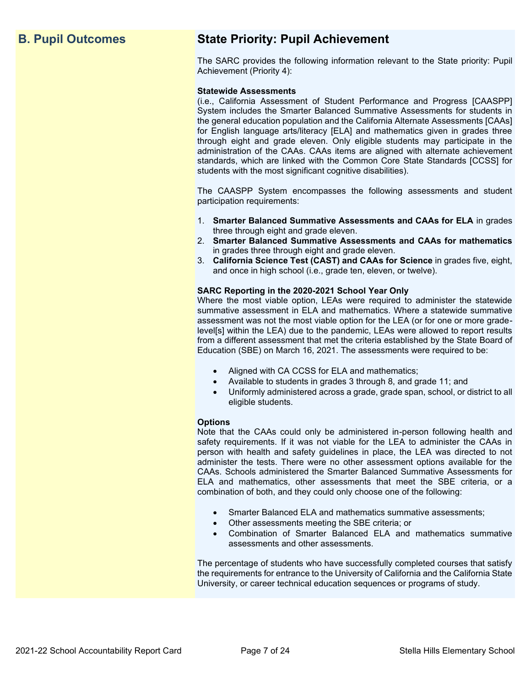# **B. Pupil Outcomes State Priority: Pupil Achievement**

The SARC provides the following information relevant to the State priority: Pupil Achievement (Priority 4):

### **Statewide Assessments**

(i.e., California Assessment of Student Performance and Progress [CAASPP] System includes the Smarter Balanced Summative Assessments for students in the general education population and the California Alternate Assessments [CAAs] for English language arts/literacy [ELA] and mathematics given in grades three through eight and grade eleven. Only eligible students may participate in the administration of the CAAs. CAAs items are aligned with alternate achievement standards, which are linked with the Common Core State Standards [CCSS] for students with the most significant cognitive disabilities).

The CAASPP System encompasses the following assessments and student participation requirements:

- 1. **Smarter Balanced Summative Assessments and CAAs for ELA** in grades three through eight and grade eleven.
- 2. **Smarter Balanced Summative Assessments and CAAs for mathematics** in grades three through eight and grade eleven.
- 3. **California Science Test (CAST) and CAAs for Science** in grades five, eight, and once in high school (i.e., grade ten, eleven, or twelve).

### **SARC Reporting in the 2020-2021 School Year Only**

Where the most viable option, LEAs were required to administer the statewide summative assessment in ELA and mathematics. Where a statewide summative assessment was not the most viable option for the LEA (or for one or more gradelevel[s] within the LEA) due to the pandemic, LEAs were allowed to report results from a different assessment that met the criteria established by the State Board of Education (SBE) on March 16, 2021. The assessments were required to be:

- Aligned with CA CCSS for ELA and mathematics;
- Available to students in grades 3 through 8, and grade 11; and
- Uniformly administered across a grade, grade span, school, or district to all eligible students.

### **Options**

Note that the CAAs could only be administered in-person following health and safety requirements. If it was not viable for the LEA to administer the CAAs in person with health and safety guidelines in place, the LEA was directed to not administer the tests. There were no other assessment options available for the CAAs. Schools administered the Smarter Balanced Summative Assessments for ELA and mathematics, other assessments that meet the SBE criteria, or a combination of both, and they could only choose one of the following:

- Smarter Balanced ELA and mathematics summative assessments;
- Other assessments meeting the SBE criteria; or
- Combination of Smarter Balanced ELA and mathematics summative assessments and other assessments.

The percentage of students who have successfully completed courses that satisfy the requirements for entrance to the University of California and the California State University, or career technical education sequences or programs of study.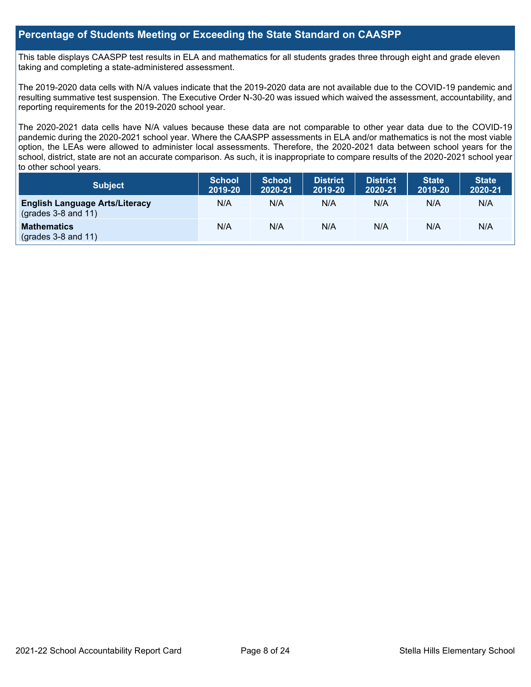## **Percentage of Students Meeting or Exceeding the State Standard on CAASPP**

This table displays CAASPP test results in ELA and mathematics for all students grades three through eight and grade eleven taking and completing a state-administered assessment.

The 2019-2020 data cells with N/A values indicate that the 2019-2020 data are not available due to the COVID-19 pandemic and resulting summative test suspension. The Executive Order N-30-20 was issued which waived the assessment, accountability, and reporting requirements for the 2019-2020 school year.

The 2020-2021 data cells have N/A values because these data are not comparable to other year data due to the COVID-19 pandemic during the 2020-2021 school year. Where the CAASPP assessments in ELA and/or mathematics is not the most viable option, the LEAs were allowed to administer local assessments. Therefore, the 2020-2021 data between school years for the school, district, state are not an accurate comparison. As such, it is inappropriate to compare results of the 2020-2021 school year to other school years.

| Subject                                                              | <b>School</b><br>2019-20 | <b>School</b><br>2020-21 | <b>District</b><br>2019-20 | <b>District</b><br>2020-21 | <b>State</b><br>2019-20 | <b>State</b><br>2020-21 |
|----------------------------------------------------------------------|--------------------------|--------------------------|----------------------------|----------------------------|-------------------------|-------------------------|
| <b>English Language Arts/Literacy</b><br>$\left($ grades 3-8 and 11) | N/A                      | N/A                      | N/A                        | N/A                        | N/A                     | N/A                     |
| <b>Mathematics</b><br>$(grades 3-8 and 11)$                          | N/A                      | N/A                      | N/A                        | N/A                        | N/A                     | N/A                     |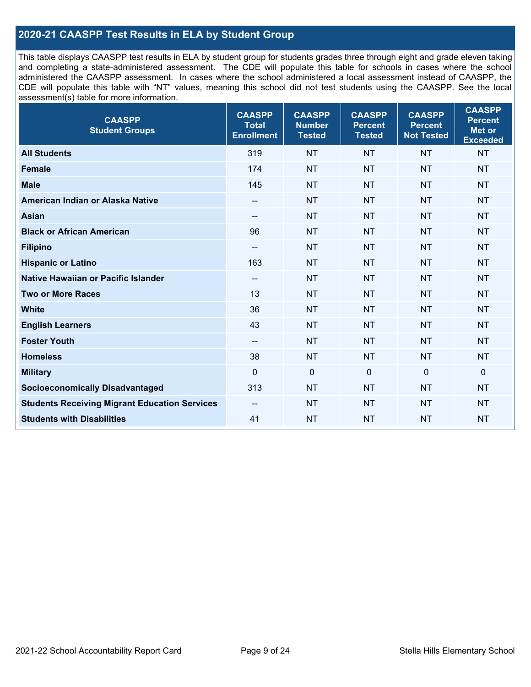# **2020-21 CAASPP Test Results in ELA by Student Group**

This table displays CAASPP test results in ELA by student group for students grades three through eight and grade eleven taking and completing a state-administered assessment. The CDE will populate this table for schools in cases where the school administered the CAASPP assessment. In cases where the school administered a local assessment instead of CAASPP, the CDE will populate this table with "NT" values, meaning this school did not test students using the CAASPP. See the local assessment(s) table for more information.

| <b>CAASPP</b><br><b>Student Groups</b>               | <b>CAASPP</b><br><b>Total</b><br><b>Enrollment</b> | <b>CAASPP</b><br><b>Number</b><br><b>Tested</b> | <b>CAASPP</b><br><b>Percent</b><br><b>Tested</b> | <b>CAASPP</b><br><b>Percent</b><br><b>Not Tested</b> | <b>CAASPP</b><br><b>Percent</b><br><b>Met or</b><br><b>Exceeded</b> |
|------------------------------------------------------|----------------------------------------------------|-------------------------------------------------|--------------------------------------------------|------------------------------------------------------|---------------------------------------------------------------------|
| <b>All Students</b>                                  | 319                                                | <b>NT</b>                                       | <b>NT</b>                                        | <b>NT</b>                                            | <b>NT</b>                                                           |
| <b>Female</b>                                        | 174                                                | <b>NT</b>                                       | <b>NT</b>                                        | <b>NT</b>                                            | <b>NT</b>                                                           |
| <b>Male</b>                                          | 145                                                | <b>NT</b>                                       | <b>NT</b>                                        | <b>NT</b>                                            | <b>NT</b>                                                           |
| American Indian or Alaska Native                     | $\overline{\phantom{a}}$                           | <b>NT</b>                                       | <b>NT</b>                                        | <b>NT</b>                                            | <b>NT</b>                                                           |
| <b>Asian</b>                                         | $- -$                                              | <b>NT</b>                                       | <b>NT</b>                                        | <b>NT</b>                                            | <b>NT</b>                                                           |
| <b>Black or African American</b>                     | 96                                                 | <b>NT</b>                                       | <b>NT</b>                                        | <b>NT</b>                                            | <b>NT</b>                                                           |
| <b>Filipino</b>                                      | $\overline{\phantom{a}}$                           | <b>NT</b>                                       | <b>NT</b>                                        | <b>NT</b>                                            | <b>NT</b>                                                           |
| <b>Hispanic or Latino</b>                            | 163                                                | <b>NT</b>                                       | <b>NT</b>                                        | <b>NT</b>                                            | <b>NT</b>                                                           |
| Native Hawaiian or Pacific Islander                  | $\overline{\phantom{a}}$                           | <b>NT</b>                                       | <b>NT</b>                                        | <b>NT</b>                                            | <b>NT</b>                                                           |
| <b>Two or More Races</b>                             | 13                                                 | <b>NT</b>                                       | <b>NT</b>                                        | <b>NT</b>                                            | <b>NT</b>                                                           |
| <b>White</b>                                         | 36                                                 | <b>NT</b>                                       | <b>NT</b>                                        | <b>NT</b>                                            | NT                                                                  |
| <b>English Learners</b>                              | 43                                                 | <b>NT</b>                                       | <b>NT</b>                                        | <b>NT</b>                                            | <b>NT</b>                                                           |
| <b>Foster Youth</b>                                  | $\overline{\phantom{a}}$                           | <b>NT</b>                                       | <b>NT</b>                                        | <b>NT</b>                                            | <b>NT</b>                                                           |
| <b>Homeless</b>                                      | 38                                                 | <b>NT</b>                                       | <b>NT</b>                                        | <b>NT</b>                                            | <b>NT</b>                                                           |
| <b>Military</b>                                      | $\mathbf 0$                                        | $\pmb{0}$                                       | $\mathbf 0$                                      | $\mathbf 0$                                          | 0                                                                   |
| <b>Socioeconomically Disadvantaged</b>               | 313                                                | <b>NT</b>                                       | <b>NT</b>                                        | <b>NT</b>                                            | <b>NT</b>                                                           |
| <b>Students Receiving Migrant Education Services</b> | $- -$                                              | <b>NT</b>                                       | <b>NT</b>                                        | <b>NT</b>                                            | NT                                                                  |
| <b>Students with Disabilities</b>                    | 41                                                 | <b>NT</b>                                       | <b>NT</b>                                        | <b>NT</b>                                            | <b>NT</b>                                                           |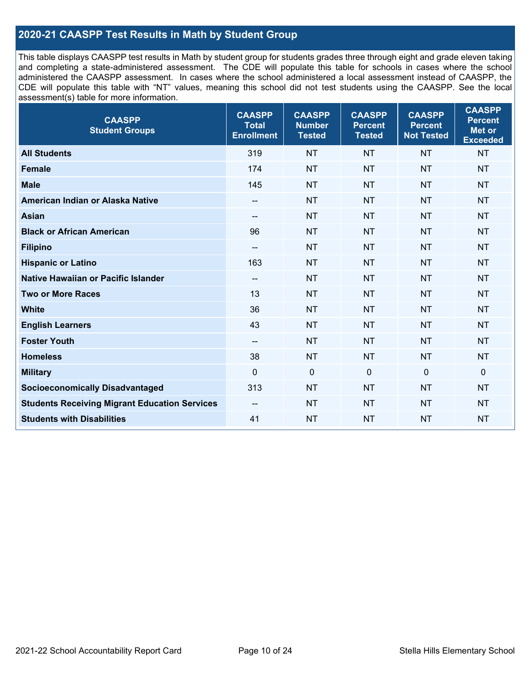# **2020-21 CAASPP Test Results in Math by Student Group**

This table displays CAASPP test results in Math by student group for students grades three through eight and grade eleven taking and completing a state-administered assessment. The CDE will populate this table for schools in cases where the school administered the CAASPP assessment. In cases where the school administered a local assessment instead of CAASPP, the CDE will populate this table with "NT" values, meaning this school did not test students using the CAASPP. See the local assessment(s) table for more information.

| <b>CAASPP</b><br><b>Student Groups</b>               | <b>CAASPP</b><br><b>Total</b><br><b>Enrollment</b> | <b>CAASPP</b><br><b>Number</b><br><b>Tested</b> | <b>CAASPP</b><br><b>Percent</b><br><b>Tested</b> | <b>CAASPP</b><br><b>Percent</b><br><b>Not Tested</b> | <b>CAASPP</b><br><b>Percent</b><br>Met or<br><b>Exceeded</b> |
|------------------------------------------------------|----------------------------------------------------|-------------------------------------------------|--------------------------------------------------|------------------------------------------------------|--------------------------------------------------------------|
| <b>All Students</b>                                  | 319                                                | <b>NT</b>                                       | <b>NT</b>                                        | <b>NT</b>                                            | <b>NT</b>                                                    |
| <b>Female</b>                                        | 174                                                | <b>NT</b>                                       | <b>NT</b>                                        | <b>NT</b>                                            | <b>NT</b>                                                    |
| <b>Male</b>                                          | 145                                                | <b>NT</b>                                       | <b>NT</b>                                        | <b>NT</b>                                            | <b>NT</b>                                                    |
| American Indian or Alaska Native                     | $\overline{\phantom{a}}$                           | <b>NT</b>                                       | <b>NT</b>                                        | <b>NT</b>                                            | <b>NT</b>                                                    |
| <b>Asian</b>                                         | --                                                 | <b>NT</b>                                       | <b>NT</b>                                        | <b>NT</b>                                            | <b>NT</b>                                                    |
| <b>Black or African American</b>                     | 96                                                 | <b>NT</b>                                       | <b>NT</b>                                        | <b>NT</b>                                            | <b>NT</b>                                                    |
| <b>Filipino</b>                                      | $\overline{\phantom{a}}$                           | <b>NT</b>                                       | <b>NT</b>                                        | <b>NT</b>                                            | <b>NT</b>                                                    |
| <b>Hispanic or Latino</b>                            | 163                                                | <b>NT</b>                                       | <b>NT</b>                                        | <b>NT</b>                                            | <b>NT</b>                                                    |
| Native Hawaiian or Pacific Islander                  | $\overline{\phantom{a}}$                           | <b>NT</b>                                       | <b>NT</b>                                        | <b>NT</b>                                            | <b>NT</b>                                                    |
| <b>Two or More Races</b>                             | 13                                                 | <b>NT</b>                                       | <b>NT</b>                                        | <b>NT</b>                                            | <b>NT</b>                                                    |
| <b>White</b>                                         | 36                                                 | <b>NT</b>                                       | <b>NT</b>                                        | <b>NT</b>                                            | <b>NT</b>                                                    |
| <b>English Learners</b>                              | 43                                                 | <b>NT</b>                                       | <b>NT</b>                                        | <b>NT</b>                                            | <b>NT</b>                                                    |
| <b>Foster Youth</b>                                  | $\overline{\phantom{a}}$                           | <b>NT</b>                                       | <b>NT</b>                                        | <b>NT</b>                                            | <b>NT</b>                                                    |
| <b>Homeless</b>                                      | 38                                                 | <b>NT</b>                                       | <b>NT</b>                                        | <b>NT</b>                                            | <b>NT</b>                                                    |
| <b>Military</b>                                      | $\mathbf 0$                                        | $\mathbf 0$                                     | $\mathbf 0$                                      | $\mathbf 0$                                          | 0                                                            |
| <b>Socioeconomically Disadvantaged</b>               | 313                                                | <b>NT</b>                                       | <b>NT</b>                                        | <b>NT</b>                                            | <b>NT</b>                                                    |
| <b>Students Receiving Migrant Education Services</b> | $-$                                                | <b>NT</b>                                       | <b>NT</b>                                        | <b>NT</b>                                            | <b>NT</b>                                                    |
| <b>Students with Disabilities</b>                    | 41                                                 | <b>NT</b>                                       | <b>NT</b>                                        | <b>NT</b>                                            | <b>NT</b>                                                    |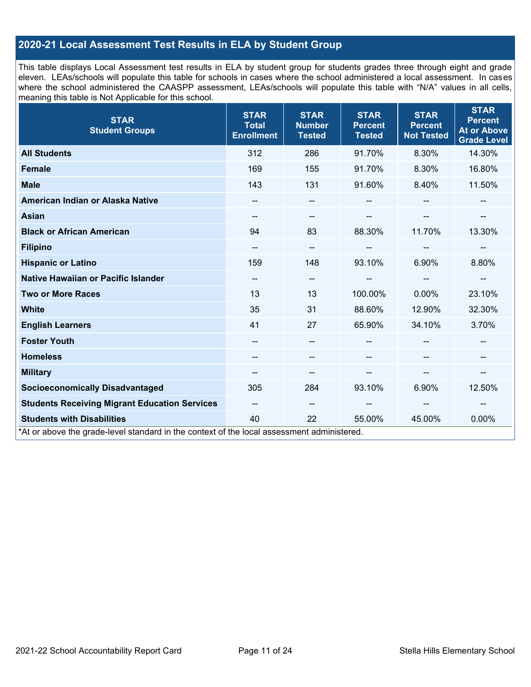# **2020-21 Local Assessment Test Results in ELA by Student Group**

This table displays Local Assessment test results in ELA by student group for students grades three through eight and grade eleven. LEAs/schools will populate this table for schools in cases where the school administered a local assessment. In cases where the school administered the CAASPP assessment, LEAs/schools will populate this table with "N/A" values in all cells, meaning this table is Not Applicable for this school.

| <b>STAR</b><br><b>Student Groups</b>                                                                                            | <b>STAR</b><br><b>Total</b><br><b>Enrollment</b> | <b>STAR</b><br><b>Number</b><br><b>Tested</b> | <b>STAR</b><br><b>Percent</b><br><b>Tested</b> | <b>STAR</b><br><b>Percent</b><br><b>Not Tested</b> | <b>STAR</b><br><b>Percent</b><br><b>At or Above</b><br><b>Grade Level</b> |
|---------------------------------------------------------------------------------------------------------------------------------|--------------------------------------------------|-----------------------------------------------|------------------------------------------------|----------------------------------------------------|---------------------------------------------------------------------------|
| <b>All Students</b>                                                                                                             | 312                                              | 286                                           | 91.70%                                         | 8.30%                                              | 14.30%                                                                    |
| <b>Female</b>                                                                                                                   | 169                                              | 155                                           | 91.70%                                         | 8.30%                                              | 16.80%                                                                    |
| <b>Male</b>                                                                                                                     | 143                                              | 131                                           | 91.60%                                         | 8.40%                                              | 11.50%                                                                    |
| American Indian or Alaska Native                                                                                                | --                                               | --                                            |                                                |                                                    |                                                                           |
| <b>Asian</b>                                                                                                                    | --                                               | --                                            |                                                |                                                    |                                                                           |
| <b>Black or African American</b>                                                                                                | 94                                               | 83                                            | 88.30%                                         | 11.70%                                             | 13.30%                                                                    |
| <b>Filipino</b>                                                                                                                 | --                                               | --                                            |                                                | --                                                 | --                                                                        |
| <b>Hispanic or Latino</b>                                                                                                       | 159                                              | 148                                           | 93.10%                                         | 6.90%                                              | 8.80%                                                                     |
| Native Hawaiian or Pacific Islander                                                                                             | --                                               | --                                            |                                                | $\sim$                                             |                                                                           |
| <b>Two or More Races</b>                                                                                                        | 13                                               | 13                                            | 100.00%                                        | 0.00%                                              | 23.10%                                                                    |
| <b>White</b>                                                                                                                    | 35                                               | 31                                            | 88.60%                                         | 12.90%                                             | 32.30%                                                                    |
| <b>English Learners</b>                                                                                                         | 41                                               | 27                                            | 65.90%                                         | 34.10%                                             | 3.70%                                                                     |
| <b>Foster Youth</b>                                                                                                             | --                                               | --                                            |                                                | $\overline{\phantom{a}}$                           | --                                                                        |
| <b>Homeless</b>                                                                                                                 | --                                               | --                                            |                                                |                                                    |                                                                           |
| <b>Military</b>                                                                                                                 | --                                               | --                                            | --                                             | $\sim$                                             | --                                                                        |
| <b>Socioeconomically Disadvantaged</b>                                                                                          | 305                                              | 284                                           | 93.10%                                         | 6.90%                                              | 12.50%                                                                    |
| <b>Students Receiving Migrant Education Services</b>                                                                            | --                                               | $\qquad \qquad -$                             |                                                | $\sim$                                             | --                                                                        |
| <b>Students with Disabilities</b><br>*At or above the grade-level standard in the context of the local assessment administered. | 40                                               | 22                                            | 55.00%                                         | 45.00%                                             | 0.00%                                                                     |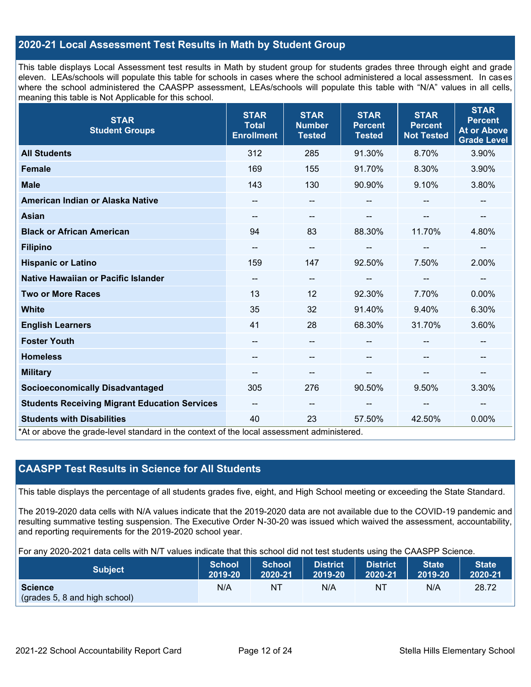# **2020-21 Local Assessment Test Results in Math by Student Group**

This table displays Local Assessment test results in Math by student group for students grades three through eight and grade eleven. LEAs/schools will populate this table for schools in cases where the school administered a local assessment. In cases where the school administered the CAASPP assessment, LEAs/schools will populate this table with "N/A" values in all cells, meaning this table is Not Applicable for this school.

| <b>STAR</b><br><b>Student Groups</b>                                                                                            | <b>STAR</b><br><b>Total</b><br><b>Enrollment</b> | <b>STAR</b><br><b>Number</b><br><b>Tested</b> | <b>STAR</b><br><b>Percent</b><br><b>Tested</b> | <b>STAR</b><br><b>Percent</b><br><b>Not Tested</b> | <b>STAR</b><br><b>Percent</b><br><b>At or Above</b><br><b>Grade Level</b> |
|---------------------------------------------------------------------------------------------------------------------------------|--------------------------------------------------|-----------------------------------------------|------------------------------------------------|----------------------------------------------------|---------------------------------------------------------------------------|
| <b>All Students</b>                                                                                                             | 312                                              | 285                                           | 91.30%                                         | 8.70%                                              | 3.90%                                                                     |
| <b>Female</b>                                                                                                                   | 169                                              | 155                                           | 91.70%                                         | 8.30%                                              | 3.90%                                                                     |
| <b>Male</b>                                                                                                                     | 143                                              | 130                                           | 90.90%                                         | 9.10%                                              | 3.80%                                                                     |
| American Indian or Alaska Native                                                                                                | --                                               | $\overline{\phantom{m}}$                      | --                                             |                                                    | --                                                                        |
| <b>Asian</b>                                                                                                                    | $\overline{\phantom{a}}$                         | --                                            | $-$                                            | --                                                 | $\qquad \qquad -$                                                         |
| <b>Black or African American</b>                                                                                                | 94                                               | 83                                            | 88.30%                                         | 11.70%                                             | 4.80%                                                                     |
| <b>Filipino</b>                                                                                                                 | --                                               | $\overline{\phantom{m}}$                      | --                                             | --                                                 | --                                                                        |
| <b>Hispanic or Latino</b>                                                                                                       | 159                                              | 147                                           | 92.50%                                         | 7.50%                                              | 2.00%                                                                     |
| Native Hawaiian or Pacific Islander                                                                                             | $\overline{\phantom{a}}$                         | $\overline{\phantom{m}}$                      |                                                | $-$                                                | --                                                                        |
| <b>Two or More Races</b>                                                                                                        | 13                                               | 12                                            | 92.30%                                         | 7.70%                                              | 0.00%                                                                     |
| <b>White</b>                                                                                                                    | 35                                               | 32                                            | 91.40%                                         | 9.40%                                              | 6.30%                                                                     |
| <b>English Learners</b>                                                                                                         | 41                                               | 28                                            | 68.30%                                         | 31.70%                                             | 3.60%                                                                     |
| <b>Foster Youth</b>                                                                                                             | --                                               | $\sim$                                        |                                                |                                                    | --                                                                        |
| <b>Homeless</b>                                                                                                                 |                                                  | --                                            |                                                |                                                    |                                                                           |
| <b>Military</b>                                                                                                                 | --                                               | $\overline{\phantom{m}}$                      | --                                             | --                                                 | --                                                                        |
| <b>Socioeconomically Disadvantaged</b>                                                                                          | 305                                              | 276                                           | 90.50%                                         | 9.50%                                              | 3.30%                                                                     |
| <b>Students Receiving Migrant Education Services</b>                                                                            | $\overline{\phantom{a}}$                         | $\overline{\phantom{a}}$                      | --                                             | $-$                                                | --                                                                        |
| <b>Students with Disabilities</b><br>*At or above the grade-level standard in the context of the local assessment administered. | 40                                               | 23                                            | 57.50%                                         | 42.50%                                             | 0.00%                                                                     |

# **CAASPP Test Results in Science for All Students**

This table displays the percentage of all students grades five, eight, and High School meeting or exceeding the State Standard.

The 2019-2020 data cells with N/A values indicate that the 2019-2020 data are not available due to the COVID-19 pandemic and resulting summative testing suspension. The Executive Order N-30-20 was issued which waived the assessment, accountability, and reporting requirements for the 2019-2020 school year.

For any 2020-2021 data cells with N/T values indicate that this school did not test students using the CAASPP Science.

| <b>Subject</b>                                  | <b>School</b> | <b>School</b> | <b>District</b> | District | <b>State</b> | State   |
|-------------------------------------------------|---------------|---------------|-----------------|----------|--------------|---------|
|                                                 | 2019-20       | 2020-21       | 2019-20         | 2020-21  | 2019-20      | 2020-21 |
| <b>Science</b><br>(grades 5, 8 and high school) | N/A           | ΝT            | N/A             | ΝT       | N/A          | 28.72   |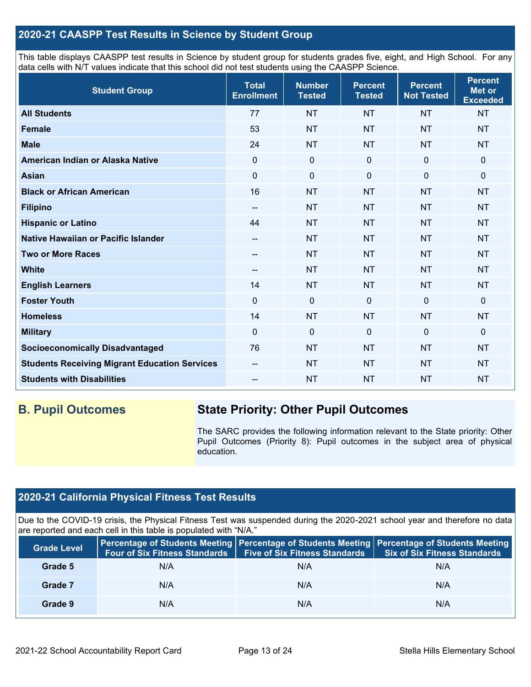# **2020-21 CAASPP Test Results in Science by Student Group**

This table displays CAASPP test results in Science by student group for students grades five, eight, and High School. For any data cells with N/T values indicate that this school did not test students using the CAASPP Science.

| <b>Student Group</b>                                 | <b>Total</b><br><b>Enrollment</b> | <b>Number</b><br><b>Tested</b> | <b>Percent</b><br><b>Tested</b> | <b>Percent</b><br><b>Not Tested</b> | <b>Percent</b><br><b>Met or</b><br><b>Exceeded</b> |
|------------------------------------------------------|-----------------------------------|--------------------------------|---------------------------------|-------------------------------------|----------------------------------------------------|
| <b>All Students</b>                                  | 77                                | <b>NT</b>                      | <b>NT</b>                       | <b>NT</b>                           | <b>NT</b>                                          |
| <b>Female</b>                                        | 53                                | <b>NT</b>                      | <b>NT</b>                       | <b>NT</b>                           | <b>NT</b>                                          |
| <b>Male</b>                                          | 24                                | <b>NT</b>                      | <b>NT</b>                       | <b>NT</b>                           | <b>NT</b>                                          |
| American Indian or Alaska Native                     | $\mathbf 0$                       | $\mathbf 0$                    | $\mathbf{0}$                    | $\mathbf{0}$                        | 0                                                  |
| <b>Asian</b>                                         | $\mathbf 0$                       | $\pmb{0}$                      | $\mathbf 0$                     | $\mathbf 0$                         | 0                                                  |
| <b>Black or African American</b>                     | 16                                | <b>NT</b>                      | <b>NT</b>                       | <b>NT</b>                           | <b>NT</b>                                          |
| <b>Filipino</b>                                      | --                                | <b>NT</b>                      | <b>NT</b>                       | <b>NT</b>                           | <b>NT</b>                                          |
| <b>Hispanic or Latino</b>                            | 44                                | <b>NT</b>                      | <b>NT</b>                       | <b>NT</b>                           | <b>NT</b>                                          |
| Native Hawaiian or Pacific Islander                  | --                                | <b>NT</b>                      | <b>NT</b>                       | <b>NT</b>                           | <b>NT</b>                                          |
| <b>Two or More Races</b>                             | --                                | <b>NT</b>                      | <b>NT</b>                       | <b>NT</b>                           | <b>NT</b>                                          |
| <b>White</b>                                         | $\overline{\phantom{a}}$          | <b>NT</b>                      | <b>NT</b>                       | <b>NT</b>                           | <b>NT</b>                                          |
| <b>English Learners</b>                              | 14                                | <b>NT</b>                      | <b>NT</b>                       | <b>NT</b>                           | <b>NT</b>                                          |
| <b>Foster Youth</b>                                  | $\mathbf 0$                       | $\mathbf 0$                    | $\mathbf 0$                     | $\mathbf 0$                         | $\mathbf 0$                                        |
| <b>Homeless</b>                                      | 14                                | <b>NT</b>                      | <b>NT</b>                       | <b>NT</b>                           | <b>NT</b>                                          |
| <b>Military</b>                                      | $\mathbf 0$                       | $\mathbf 0$                    | $\mathbf 0$                     | $\mathbf 0$                         | 0                                                  |
| <b>Socioeconomically Disadvantaged</b>               | 76                                | <b>NT</b>                      | <b>NT</b>                       | <b>NT</b>                           | <b>NT</b>                                          |
| <b>Students Receiving Migrant Education Services</b> | --                                | <b>NT</b>                      | <b>NT</b>                       | <b>NT</b>                           | <b>NT</b>                                          |
| <b>Students with Disabilities</b>                    | --                                | <b>NT</b>                      | <b>NT</b>                       | <b>NT</b>                           | <b>NT</b>                                          |

# **B. Pupil Outcomes State Priority: Other Pupil Outcomes**

The SARC provides the following information relevant to the State priority: Other Pupil Outcomes (Priority 8): Pupil outcomes in the subject area of physical education.

# **2020-21 California Physical Fitness Test Results**

Due to the COVID-19 crisis, the Physical Fitness Test was suspended during the 2020-2021 school year and therefore no data are reported and each cell in this table is populated with "N/A."

| <b>Grade Level</b> | <b>Four of Six Fitness Standards</b> | <b>Five of Six Fitness Standards</b> | Percentage of Students Meeting   Percentage of Students Meeting   Percentage of Students Meeting<br><b>Six of Six Fitness Standards</b> |
|--------------------|--------------------------------------|--------------------------------------|-----------------------------------------------------------------------------------------------------------------------------------------|
| Grade 5            | N/A                                  | N/A                                  | N/A                                                                                                                                     |
| Grade 7            | N/A                                  | N/A                                  | N/A                                                                                                                                     |
| Grade 9            | N/A                                  | N/A                                  | N/A                                                                                                                                     |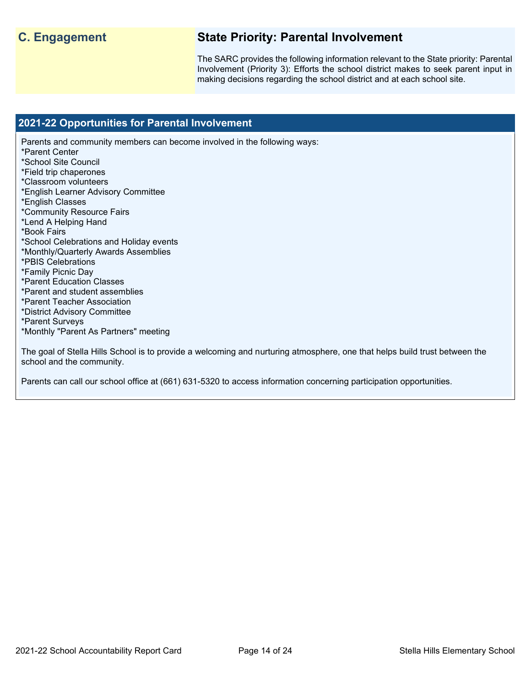# **C. Engagement State Priority: Parental Involvement**

The SARC provides the following information relevant to the State priority: Parental Involvement (Priority 3): Efforts the school district makes to seek parent input in making decisions regarding the school district and at each school site.

### **2021-22 Opportunities for Parental Involvement**

Parents and community members can become involved in the following ways: \*Parent Center \*School Site Council \*Field trip chaperones \*Classroom volunteers \*English Learner Advisory Committee \*English Classes \*Community Resource Fairs \*Lend A Helping Hand \*Book Fairs \*School Celebrations and Holiday events \*Monthly/Quarterly Awards Assemblies \*PBIS Celebrations \*Family Picnic Day \*Parent Education Classes \*Parent and student assemblies \*Parent Teacher Association \*District Advisory Committee \*Parent Surveys \*Monthly "Parent As Partners" meeting

The goal of Stella Hills School is to provide a welcoming and nurturing atmosphere, one that helps build trust between the school and the community.

Parents can call our school office at (661) 631-5320 to access information concerning participation opportunities.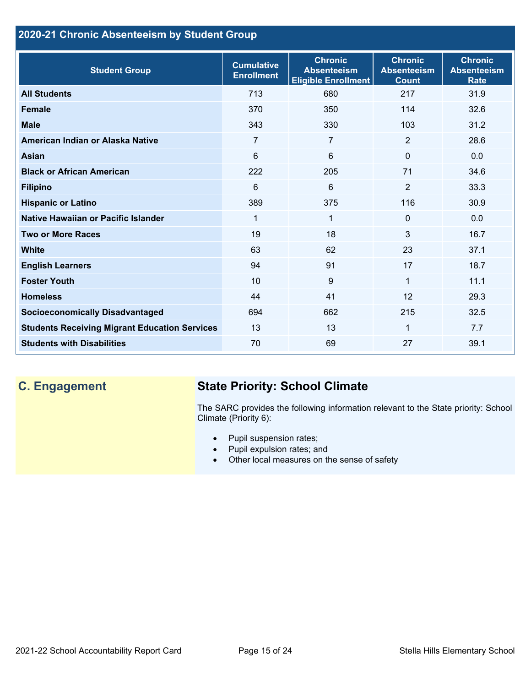# **2020-21 Chronic Absenteeism by Student Group**

| <b>Student Group</b>                                 | <b>Cumulative</b><br><b>Enrollment</b> | <b>Chronic</b><br><b>Absenteeism</b><br><b>Eligible Enrollment</b> | <b>Chronic</b><br><b>Absenteeism</b><br><b>Count</b> | <b>Chronic</b><br><b>Absenteeism</b><br><b>Rate</b> |
|------------------------------------------------------|----------------------------------------|--------------------------------------------------------------------|------------------------------------------------------|-----------------------------------------------------|
| <b>All Students</b>                                  | 713                                    | 680                                                                | 217                                                  | 31.9                                                |
| <b>Female</b>                                        | 370                                    | 350                                                                | 114                                                  | 32.6                                                |
| <b>Male</b>                                          | 343                                    | 330                                                                | 103                                                  | 31.2                                                |
| American Indian or Alaska Native                     | 7                                      | $\overline{7}$                                                     | 2                                                    | 28.6                                                |
| Asian                                                | 6                                      | 6                                                                  | $\Omega$                                             | 0.0                                                 |
| <b>Black or African American</b>                     | 222                                    | 205                                                                | 71                                                   | 34.6                                                |
| <b>Filipino</b>                                      | 6                                      | 6                                                                  | $\overline{2}$                                       | 33.3                                                |
| <b>Hispanic or Latino</b>                            | 389                                    | 375                                                                | 116                                                  | 30.9                                                |
| Native Hawaiian or Pacific Islander                  | 1                                      | $\mathbf{1}$                                                       | $\mathbf 0$                                          | 0.0                                                 |
| <b>Two or More Races</b>                             | 19                                     | 18                                                                 | 3                                                    | 16.7                                                |
| <b>White</b>                                         | 63                                     | 62                                                                 | 23                                                   | 37.1                                                |
| <b>English Learners</b>                              | 94                                     | 91                                                                 | 17                                                   | 18.7                                                |
| <b>Foster Youth</b>                                  | 10                                     | 9                                                                  | 1                                                    | 11.1                                                |
| <b>Homeless</b>                                      | 44                                     | 41                                                                 | 12                                                   | 29.3                                                |
| <b>Socioeconomically Disadvantaged</b>               | 694                                    | 662                                                                | 215                                                  | 32.5                                                |
| <b>Students Receiving Migrant Education Services</b> | 13                                     | 13                                                                 | 1                                                    | 7.7                                                 |
| <b>Students with Disabilities</b>                    | 70                                     | 69                                                                 | 27                                                   | 39.1                                                |

# **C. Engagement State Priority: School Climate**

The SARC provides the following information relevant to the State priority: School Climate (Priority 6):

- Pupil suspension rates;
- Pupil expulsion rates; and
- Other local measures on the sense of safety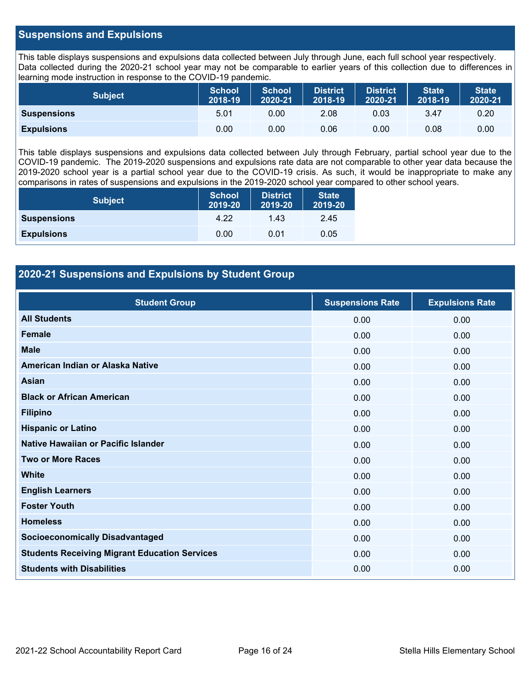# **Suspensions and Expulsions**

This table displays suspensions and expulsions data collected between July through June, each full school year respectively. Data collected during the 2020-21 school year may not be comparable to earlier years of this collection due to differences in learning mode instruction in response to the COVID-19 pandemic.

| <b>Subject</b>     | <b>School</b><br>2018-19 | <b>School</b><br>2020-21 | <b>District</b><br>2018-19 | <b>District</b><br>2020-21 | <b>State</b><br>2018-19 | <b>State</b><br>2020-21 |
|--------------------|--------------------------|--------------------------|----------------------------|----------------------------|-------------------------|-------------------------|
| <b>Suspensions</b> | 5.01                     | 0.00                     | 2.08                       | 0.03                       | 3.47                    | 0.20                    |
| <b>Expulsions</b>  | 0.00                     | 0.00                     | 0.06                       | 0.00                       | 0.08                    | 0.00                    |

This table displays suspensions and expulsions data collected between July through February, partial school year due to the COVID-19 pandemic. The 2019-2020 suspensions and expulsions rate data are not comparable to other year data because the 2019-2020 school year is a partial school year due to the COVID-19 crisis. As such, it would be inappropriate to make any comparisons in rates of suspensions and expulsions in the 2019-2020 school year compared to other school years.

| <b>Subject</b>     | <b>School</b><br>2019-20 | <b>District</b><br>2019-20 | <b>State</b><br>2019-20 |
|--------------------|--------------------------|----------------------------|-------------------------|
| <b>Suspensions</b> | 4.22                     | 1.43                       | 2.45                    |
| <b>Expulsions</b>  | 0.00                     | 0.01                       | 0.05                    |

# **2020-21 Suspensions and Expulsions by Student Group**

| <b>Student Group</b>                                 | <b>Suspensions Rate</b> | <b>Expulsions Rate</b> |
|------------------------------------------------------|-------------------------|------------------------|
| <b>All Students</b>                                  | 0.00                    | 0.00                   |
| <b>Female</b>                                        | 0.00                    | 0.00                   |
| <b>Male</b>                                          | 0.00                    | 0.00                   |
| American Indian or Alaska Native                     | 0.00                    | 0.00                   |
| Asian                                                | 0.00                    | 0.00                   |
| <b>Black or African American</b>                     | 0.00                    | 0.00                   |
| <b>Filipino</b>                                      | 0.00                    | 0.00                   |
| <b>Hispanic or Latino</b>                            | 0.00                    | 0.00                   |
| Native Hawaiian or Pacific Islander                  | 0.00                    | 0.00                   |
| <b>Two or More Races</b>                             | 0.00                    | 0.00                   |
| <b>White</b>                                         | 0.00                    | 0.00                   |
| <b>English Learners</b>                              | 0.00                    | 0.00                   |
| <b>Foster Youth</b>                                  | 0.00                    | 0.00                   |
| <b>Homeless</b>                                      | 0.00                    | 0.00                   |
| <b>Socioeconomically Disadvantaged</b>               | 0.00                    | 0.00                   |
| <b>Students Receiving Migrant Education Services</b> | 0.00                    | 0.00                   |
| <b>Students with Disabilities</b>                    | 0.00                    | 0.00                   |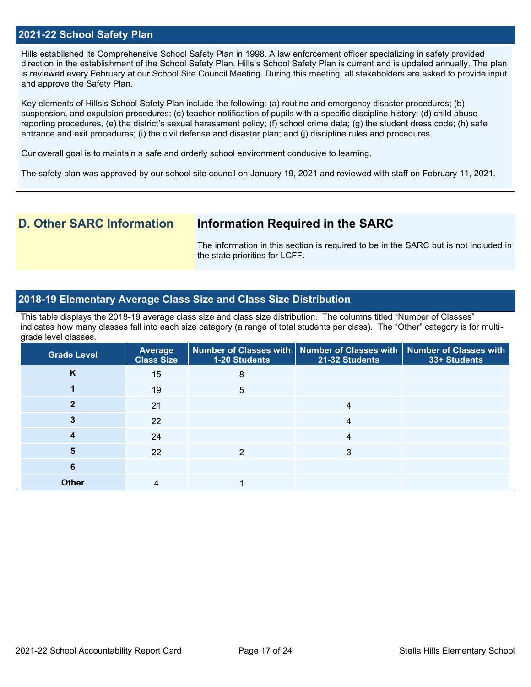### **2021-22 School Safety Plan**

Hills established its Comprehensive School Safety Plan in 1998. A law enforcement officer specializing in safety provided direction in the establishment of the School Safety Plan. Hills's School Safety Plan is current and is updated annually. The plan is reviewed every February at our School Site Council Meeting. During this meeting, all stakeholders are asked to provide input and approve the Safety Plan.

Key elements of Hills's School Safety Plan include the following: (a) routine and emergency disaster procedures; (b) suspension, and expulsion procedures; (c) teacher notification of pupils with a specific discipline history; (d) child abuse reporting procedures, (e) the district's sexual harassment policy; (f) school crime data; (g) the student dress code; (h) safe entrance and exit procedures; (i) the civil defense and disaster plan; and (j) discipline rules and procedures.

Our overall goal is to maintain a safe and orderly school environment conducive to learning.

The safety plan was approved by our school site council on January 19, 2021 and reviewed with staff on February 11, 2021.

# **D. Other SARC Information Information Required in the SARC**

The information in this section is required to be in the SARC but is not included in the state priorities for LCFF.

## **2018-19 Elementary Average Class Size and Class Size Distribution**

This table displays the 2018-19 average class size and class size distribution. The columns titled "Number of Classes" indicates how many classes fall into each size category (a range of total students per class). The "Other" category is for multigrade level classes.

| <b>Grade Level</b> | <b>Average</b><br><b>Class Size</b> | 1-20 Students | Number of Classes with   Number of Classes with   Number of Classes with<br>21-32 Students | 33+ Students |
|--------------------|-------------------------------------|---------------|--------------------------------------------------------------------------------------------|--------------|
| K                  | 15                                  | 8             |                                                                                            |              |
|                    | 19                                  | 5             |                                                                                            |              |
|                    | 21                                  |               | 4                                                                                          |              |
|                    | 22                                  |               | 4                                                                                          |              |
|                    | 24                                  |               | 4                                                                                          |              |
| 5                  | 22                                  |               | 3                                                                                          |              |
| 6                  |                                     |               |                                                                                            |              |
| <b>Other</b>       | 4                                   |               |                                                                                            |              |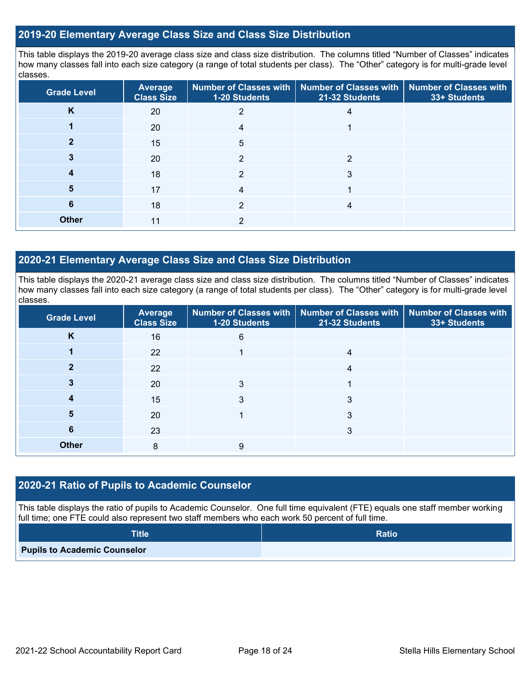## **2019-20 Elementary Average Class Size and Class Size Distribution**

This table displays the 2019-20 average class size and class size distribution. The columns titled "Number of Classes" indicates how many classes fall into each size category (a range of total students per class). The "Other" category is for multi-grade level classes.

| <b>Grade Level</b> | <b>Average</b><br><b>Class Size</b> | <b>Number of Classes with</b><br>1-20 Students | <b>Number of Classes with</b><br>21-32 Students | <b>Number of Classes with</b><br>33+ Students |
|--------------------|-------------------------------------|------------------------------------------------|-------------------------------------------------|-----------------------------------------------|
| K                  | 20                                  | 2                                              |                                                 |                                               |
|                    | 20                                  |                                                |                                                 |                                               |
|                    | 15                                  | 5                                              |                                                 |                                               |
|                    | 20                                  | $\mathfrak{p}$                                 | 2                                               |                                               |
|                    | 18                                  | 2                                              | 3                                               |                                               |
| 5                  | 17                                  | 4                                              |                                                 |                                               |
| 6                  | 18                                  | 2                                              | 4                                               |                                               |
| <b>Other</b>       | 11                                  | C                                              |                                                 |                                               |

## **2020-21 Elementary Average Class Size and Class Size Distribution**

This table displays the 2020-21 average class size and class size distribution. The columns titled "Number of Classes" indicates how many classes fall into each size category (a range of total students per class). The "Other" category is for multi-grade level classes.

| <b>Grade Level</b> | Average<br><b>Class Size</b> | 1-20 Students | Number of Classes with   Number of Classes with   Number of Classes with<br>21-32 Students | 33+ Students |
|--------------------|------------------------------|---------------|--------------------------------------------------------------------------------------------|--------------|
| K                  | 16                           | 6             |                                                                                            |              |
|                    | 22                           |               | 4                                                                                          |              |
|                    | 22                           |               |                                                                                            |              |
|                    | 20                           | 3             |                                                                                            |              |
|                    | 15                           | 3             | 3                                                                                          |              |
| 5                  | 20                           |               | 3                                                                                          |              |
| 6                  | 23                           |               | 3                                                                                          |              |
| <b>Other</b>       | 8                            | 9             |                                                                                            |              |

### **2020-21 Ratio of Pupils to Academic Counselor**

This table displays the ratio of pupils to Academic Counselor. One full time equivalent (FTE) equals one staff member working full time; one FTE could also represent two staff members who each work 50 percent of full time.

| <b>Title</b>                        | <b>Ratio</b> |
|-------------------------------------|--------------|
| <b>Pupils to Academic Counselor</b> |              |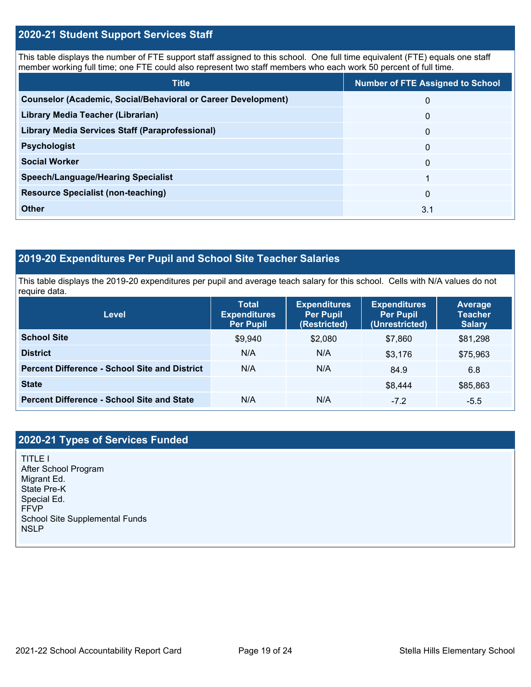# **2020-21 Student Support Services Staff**

This table displays the number of FTE support staff assigned to this school. One full time equivalent (FTE) equals one staff member working full time; one FTE could also represent two staff members who each work 50 percent of full time.

| <b>Title</b>                                                         | <b>Number of FTE Assigned to School</b> |
|----------------------------------------------------------------------|-----------------------------------------|
| <b>Counselor (Academic, Social/Behavioral or Career Development)</b> | 0                                       |
| Library Media Teacher (Librarian)                                    | $\mathbf{0}$                            |
| <b>Library Media Services Staff (Paraprofessional)</b>               | $\mathbf{0}$                            |
| <b>Psychologist</b>                                                  | $\mathbf{0}$                            |
| <b>Social Worker</b>                                                 | 0                                       |
| <b>Speech/Language/Hearing Specialist</b>                            |                                         |
| <b>Resource Specialist (non-teaching)</b>                            | $\Omega$                                |
| <b>Other</b>                                                         | 3.1                                     |

# **2019-20 Expenditures Per Pupil and School Site Teacher Salaries**

This table displays the 2019-20 expenditures per pupil and average teach salary for this school. Cells with N/A values do not require data.

| Level                                                | <b>Total</b><br><b>Expenditures</b><br><b>Per Pupil</b> | <b>Expenditures</b><br><b>Per Pupil</b><br>(Restricted) | <b>Expenditures</b><br><b>Per Pupil</b><br>(Unrestricted) | Average<br><b>Teacher</b><br><b>Salary</b> |
|------------------------------------------------------|---------------------------------------------------------|---------------------------------------------------------|-----------------------------------------------------------|--------------------------------------------|
| <b>School Site</b>                                   | \$9,940                                                 | \$2,080                                                 | \$7,860                                                   | \$81,298                                   |
| <b>District</b>                                      | N/A                                                     | N/A                                                     | \$3.176                                                   | \$75,963                                   |
| <b>Percent Difference - School Site and District</b> | N/A                                                     | N/A                                                     | 84.9                                                      | 6.8                                        |
| <b>State</b>                                         |                                                         |                                                         | \$8,444                                                   | \$85,863                                   |
| <b>Percent Difference - School Site and State</b>    | N/A                                                     | N/A                                                     | $-7.2$                                                    | $-5.5$                                     |

# **2020-21 Types of Services Funded**

TITLE I After School Program Migrant Ed. State Pre-K Special Ed. FFVP School Site Supplemental Funds NSLP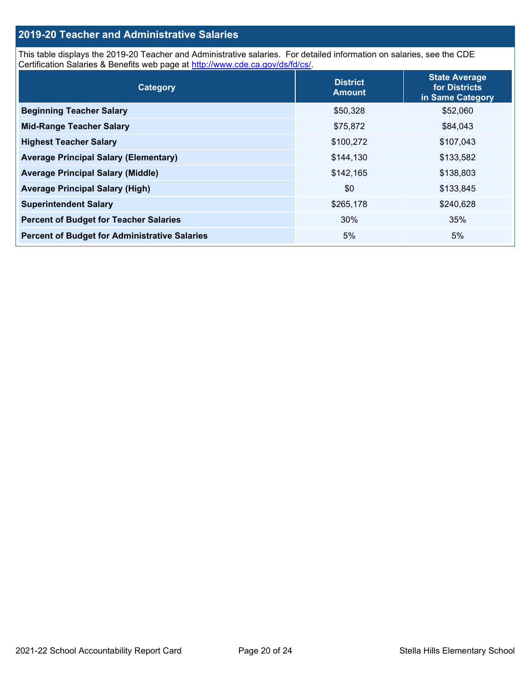# **2019-20 Teacher and Administrative Salaries**

This table displays the 2019-20 Teacher and Administrative salaries. For detailed information on salaries, see the CDE Certification Salaries & Benefits web page at [http://www.cde.ca.gov/ds/fd/cs/.](http://www.cde.ca.gov/ds/fd/cs/)

| Category                                             | <b>District</b><br><b>Amount</b> | <b>State Average</b><br>for Districts<br>in Same Category |
|------------------------------------------------------|----------------------------------|-----------------------------------------------------------|
| <b>Beginning Teacher Salary</b>                      | \$50,328                         | \$52,060                                                  |
| <b>Mid-Range Teacher Salary</b>                      | \$75,872                         | \$84,043                                                  |
| <b>Highest Teacher Salary</b>                        | \$100,272                        | \$107,043                                                 |
| <b>Average Principal Salary (Elementary)</b>         | \$144,130                        | \$133,582                                                 |
| <b>Average Principal Salary (Middle)</b>             | \$142,165                        | \$138,803                                                 |
| <b>Average Principal Salary (High)</b>               | \$0                              | \$133,845                                                 |
| <b>Superintendent Salary</b>                         | \$265,178                        | \$240,628                                                 |
| <b>Percent of Budget for Teacher Salaries</b>        | 30%                              | 35%                                                       |
| <b>Percent of Budget for Administrative Salaries</b> | 5%                               | 5%                                                        |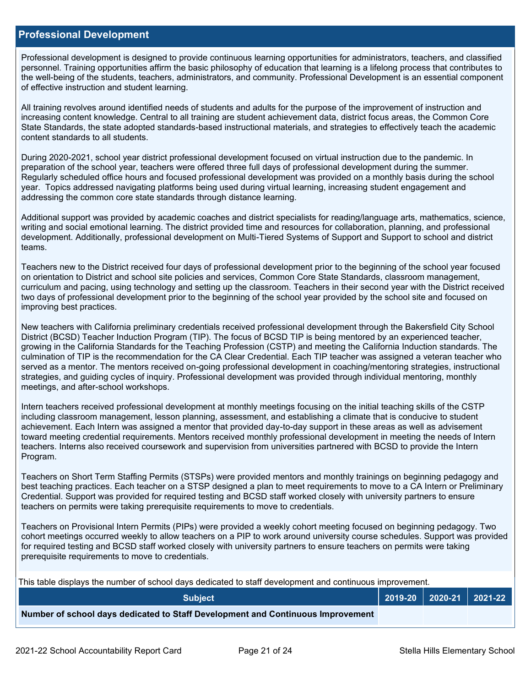### **Professional Development**

Professional development is designed to provide continuous learning opportunities for administrators, teachers, and classified personnel. Training opportunities affirm the basic philosophy of education that learning is a lifelong process that contributes to the well-being of the students, teachers, administrators, and community. Professional Development is an essential component of effective instruction and student learning.

All training revolves around identified needs of students and adults for the purpose of the improvement of instruction and increasing content knowledge. Central to all training are student achievement data, district focus areas, the Common Core State Standards, the state adopted standards-based instructional materials, and strategies to effectively teach the academic content standards to all students.

During 2020-2021, school year district professional development focused on virtual instruction due to the pandemic. In preparation of the school year, teachers were offered three full days of professional development during the summer. Regularly scheduled office hours and focused professional development was provided on a monthly basis during the school year. Topics addressed navigating platforms being used during virtual learning, increasing student engagement and addressing the common core state standards through distance learning.

Additional support was provided by academic coaches and district specialists for reading/language arts, mathematics, science, writing and social emotional learning. The district provided time and resources for collaboration, planning, and professional development. Additionally, professional development on Multi-Tiered Systems of Support and Support to school and district teams.

Teachers new to the District received four days of professional development prior to the beginning of the school year focused on orientation to District and school site policies and services, Common Core State Standards, classroom management, curriculum and pacing, using technology and setting up the classroom. Teachers in their second year with the District received two days of professional development prior to the beginning of the school year provided by the school site and focused on improving best practices.

New teachers with California preliminary credentials received professional development through the Bakersfield City School District (BCSD) Teacher Induction Program (TIP). The focus of BCSD TIP is being mentored by an experienced teacher, growing in the California Standards for the Teaching Profession (CSTP) and meeting the California Induction standards. The culmination of TIP is the recommendation for the CA Clear Credential. Each TIP teacher was assigned a veteran teacher who served as a mentor. The mentors received on-going professional development in coaching/mentoring strategies, instructional strategies, and guiding cycles of inquiry. Professional development was provided through individual mentoring, monthly meetings, and after-school workshops.

Intern teachers received professional development at monthly meetings focusing on the initial teaching skills of the CSTP including classroom management, lesson planning, assessment, and establishing a climate that is conducive to student achievement. Each Intern was assigned a mentor that provided day-to-day support in these areas as well as advisement toward meeting credential requirements. Mentors received monthly professional development in meeting the needs of Intern teachers. Interns also received coursework and supervision from universities partnered with BCSD to provide the Intern Program.

Teachers on Short Term Staffing Permits (STSPs) were provided mentors and monthly trainings on beginning pedagogy and best teaching practices. Each teacher on a STSP designed a plan to meet requirements to move to a CA Intern or Preliminary Credential. Support was provided for required testing and BCSD staff worked closely with university partners to ensure teachers on permits were taking prerequisite requirements to move to credentials.

Teachers on Provisional Intern Permits (PIPs) were provided a weekly cohort meeting focused on beginning pedagogy. Two cohort meetings occurred weekly to allow teachers on a PIP to work around university course schedules. Support was provided for required testing and BCSD staff worked closely with university partners to ensure teachers on permits were taking prerequisite requirements to move to credentials.

This table displays the number of school days dedicated to staff development and continuous improvement.

| <b>Subiect</b>                                                                  |  | 2019-20   2020-21   2021-22 |
|---------------------------------------------------------------------------------|--|-----------------------------|
| Number of school days dedicated to Staff Development and Continuous Improvement |  |                             |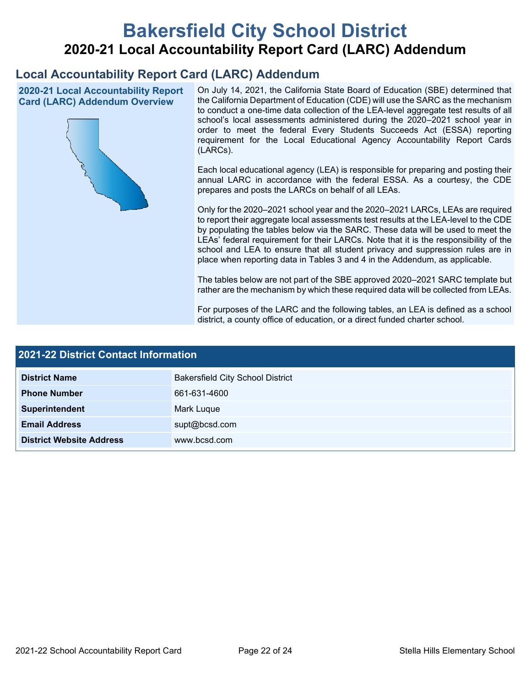# **Bakersfield City School District 2020-21 Local Accountability Report Card (LARC) Addendum**

# **Local Accountability Report Card (LARC) Addendum**

**2020-21 Local Accountability Report Card (LARC) Addendum Overview**



On July 14, 2021, the California State Board of Education (SBE) determined that the California Department of Education (CDE) will use the SARC as the mechanism to conduct a one-time data collection of the LEA-level aggregate test results of all school's local assessments administered during the 2020–2021 school year in order to meet the federal Every Students Succeeds Act (ESSA) reporting requirement for the Local Educational Agency Accountability Report Cards (LARCs).

Each local educational agency (LEA) is responsible for preparing and posting their annual LARC in accordance with the federal ESSA. As a courtesy, the CDE prepares and posts the LARCs on behalf of all LEAs.

Only for the 2020–2021 school year and the 2020–2021 LARCs, LEAs are required to report their aggregate local assessments test results at the LEA-level to the CDE by populating the tables below via the SARC. These data will be used to meet the LEAs' federal requirement for their LARCs. Note that it is the responsibility of the school and LEA to ensure that all student privacy and suppression rules are in place when reporting data in Tables 3 and 4 in the Addendum, as applicable.

The tables below are not part of the SBE approved 2020–2021 SARC template but rather are the mechanism by which these required data will be collected from LEAs.

For purposes of the LARC and the following tables, an LEA is defined as a school district, a county office of education, or a direct funded charter school.

| <b>2021-22 District Contact Information</b> |                                         |  |  |  |
|---------------------------------------------|-----------------------------------------|--|--|--|
| <b>District Name</b>                        | <b>Bakersfield City School District</b> |  |  |  |
| <b>Phone Number</b>                         | 661-631-4600                            |  |  |  |
| Superintendent                              | Mark Luque                              |  |  |  |
| <b>Email Address</b>                        | supt@bcsd.com                           |  |  |  |
| <b>District Website Address</b>             | www.bcsd.com                            |  |  |  |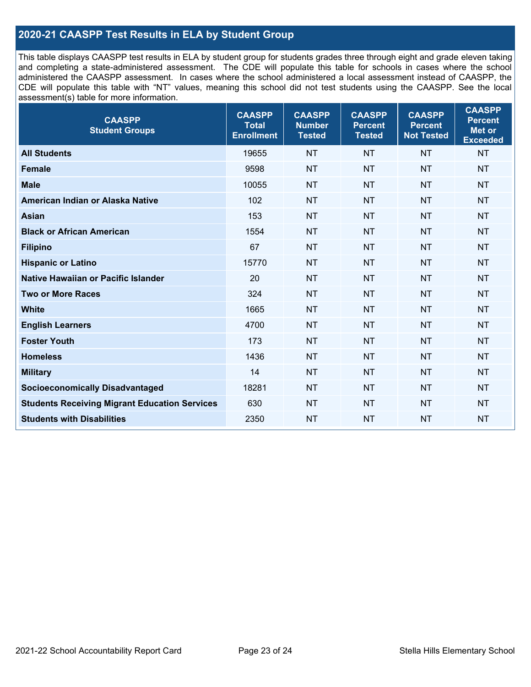# **2020-21 CAASPP Test Results in ELA by Student Group**

This table displays CAASPP test results in ELA by student group for students grades three through eight and grade eleven taking and completing a state-administered assessment. The CDE will populate this table for schools in cases where the school administered the CAASPP assessment. In cases where the school administered a local assessment instead of CAASPP, the CDE will populate this table with "NT" values, meaning this school did not test students using the CAASPP. See the local assessment(s) table for more information.

| <b>CAASPP</b><br><b>Student Groups</b>               | <b>CAASPP</b><br><b>Total</b><br><b>Enrollment</b> | <b>CAASPP</b><br><b>Number</b><br><b>Tested</b> | <b>CAASPP</b><br><b>Percent</b><br><b>Tested</b> | <b>CAASPP</b><br><b>Percent</b><br><b>Not Tested</b> | <b>CAASPP</b><br><b>Percent</b><br>Met or<br><b>Exceeded</b> |
|------------------------------------------------------|----------------------------------------------------|-------------------------------------------------|--------------------------------------------------|------------------------------------------------------|--------------------------------------------------------------|
| <b>All Students</b>                                  | 19655                                              | <b>NT</b>                                       | <b>NT</b>                                        | <b>NT</b>                                            | <b>NT</b>                                                    |
| <b>Female</b>                                        | 9598                                               | <b>NT</b>                                       | <b>NT</b>                                        | <b>NT</b>                                            | <b>NT</b>                                                    |
| <b>Male</b>                                          | 10055                                              | <b>NT</b>                                       | <b>NT</b>                                        | <b>NT</b>                                            | <b>NT</b>                                                    |
| American Indian or Alaska Native                     | 102                                                | <b>NT</b>                                       | <b>NT</b>                                        | <b>NT</b>                                            | <b>NT</b>                                                    |
| <b>Asian</b>                                         | 153                                                | <b>NT</b>                                       | <b>NT</b>                                        | <b>NT</b>                                            | <b>NT</b>                                                    |
| <b>Black or African American</b>                     | 1554                                               | <b>NT</b>                                       | <b>NT</b>                                        | <b>NT</b>                                            | NT                                                           |
| <b>Filipino</b>                                      | 67                                                 | <b>NT</b>                                       | <b>NT</b>                                        | <b>NT</b>                                            | <b>NT</b>                                                    |
| <b>Hispanic or Latino</b>                            | 15770                                              | <b>NT</b>                                       | <b>NT</b>                                        | <b>NT</b>                                            | <b>NT</b>                                                    |
| Native Hawaiian or Pacific Islander                  | 20                                                 | <b>NT</b>                                       | <b>NT</b>                                        | <b>NT</b>                                            | <b>NT</b>                                                    |
| <b>Two or More Races</b>                             | 324                                                | <b>NT</b>                                       | <b>NT</b>                                        | <b>NT</b>                                            | <b>NT</b>                                                    |
| <b>White</b>                                         | 1665                                               | <b>NT</b>                                       | <b>NT</b>                                        | <b>NT</b>                                            | <b>NT</b>                                                    |
| <b>English Learners</b>                              | 4700                                               | <b>NT</b>                                       | <b>NT</b>                                        | <b>NT</b>                                            | <b>NT</b>                                                    |
| <b>Foster Youth</b>                                  | 173                                                | <b>NT</b>                                       | <b>NT</b>                                        | <b>NT</b>                                            | <b>NT</b>                                                    |
| <b>Homeless</b>                                      | 1436                                               | <b>NT</b>                                       | <b>NT</b>                                        | <b>NT</b>                                            | <b>NT</b>                                                    |
| <b>Military</b>                                      | 14                                                 | <b>NT</b>                                       | <b>NT</b>                                        | <b>NT</b>                                            | <b>NT</b>                                                    |
| <b>Socioeconomically Disadvantaged</b>               | 18281                                              | <b>NT</b>                                       | <b>NT</b>                                        | <b>NT</b>                                            | <b>NT</b>                                                    |
| <b>Students Receiving Migrant Education Services</b> | 630                                                | <b>NT</b>                                       | <b>NT</b>                                        | <b>NT</b>                                            | NT                                                           |
| <b>Students with Disabilities</b>                    | 2350                                               | <b>NT</b>                                       | <b>NT</b>                                        | <b>NT</b>                                            | NT                                                           |